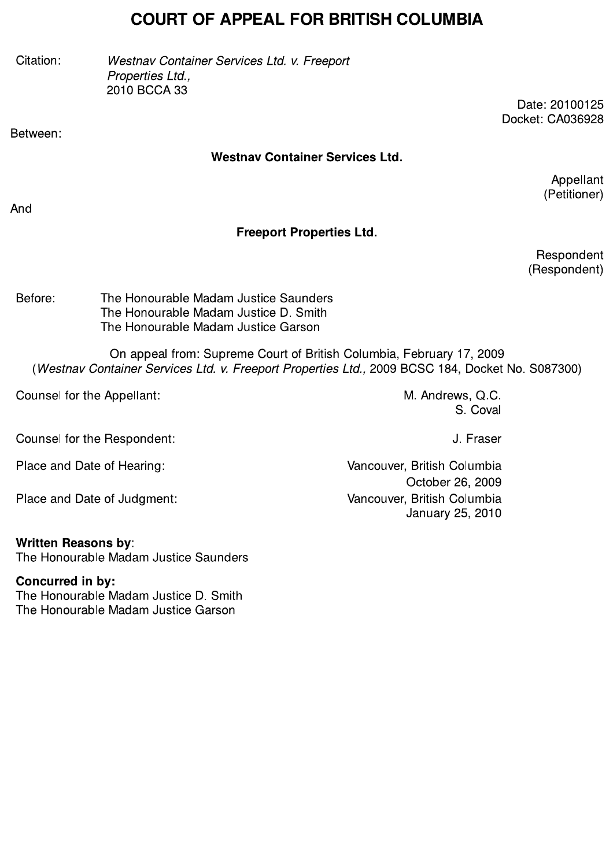# COURT OF APPEAL FOR BRITISH COLUMBIA

**COURT OF APPEAL FOR BRITISH COLUMBIA**<br>
Citation: Westnav Container Services Ltd. v. Freeport<br>
Properties Ltd.,<br>
2010 BCCA 33<br>
Date: 20100125<br>
Docket: CA036928<br>
Detween: Westnav Container Services Ltd. Appellant<br>
(Petition

#### Westnay Container Services Ltd.

Appellant (Petitioner)

And

# Freeport Properties Ltd.

Respondent (Respondent)

Before: The Honourable Madam Justice Saunders The Honourable Madam Justice D. Smith The Honourable Madam Justice Garson

Mesponde<br>
Experime The Honourable Madam Justice Saunders<br>
The Honourable Madam Justice D. Smith<br>
The Honourable Madam Justice Garson<br>
Con appeal from: Supreme Court of British Columbia, February 17, 2009<br>
(Westnav Containe

Place and Date of Judgment: Vancouver, British Columbia

## written Reasons by:<br>—

The Honourable Madam Justice Saunders

Concurred in by: The Honourable Madam Justice D. Smith

The Honourable Madam Justice Garson

January 25, 2010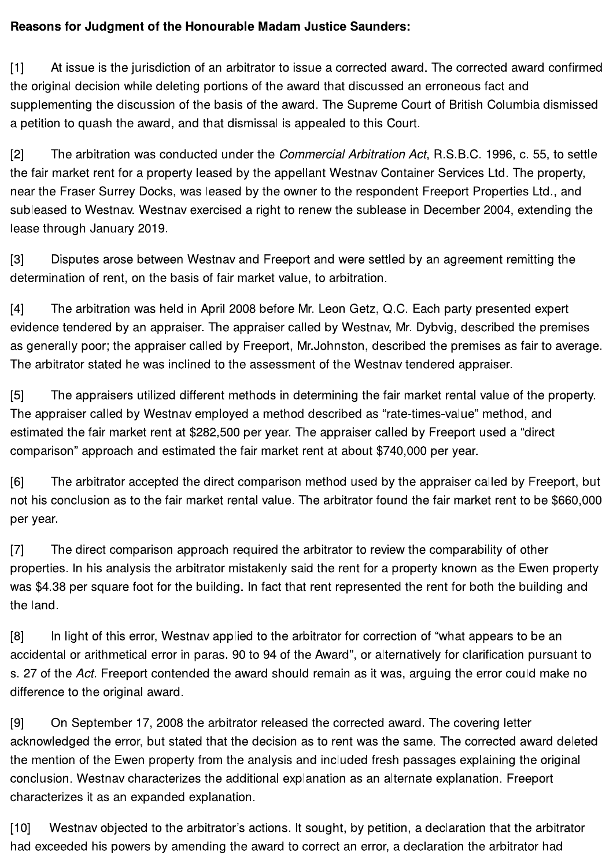#### Reasons for Judgment of the Honourable Madam Justice Saunders:

At issue is the jurisdiction of an arbitrator to issue a corrected award. The corrected award confirmed  $[1]$ the original decision while deleting portions of the award that discussed an erroneous fact and supplementing the discussion of the basis of the award. The Supreme Court of British Columbia dismissed a petition to quash the award, and that dismissal is appealed to this Court.

 $[2]$ The arbitration was conducted under the *Commercial Arbitration Act*, R.S.B.C. 1996, c. 55, to settle the fair market rent for a property leased by the appellant Westnav Container Services Ltd. The property, near the Fraser Surrey Docks, was leased by the owner to the respondent Freeport Properties Ltd., and subleased to Westnay. Westnay exercised a right to renew the sublease in December 2004, extending the lease through January 2019.

 $[3]$ Disputes arose between Westnay and Freeport and were settled by an agreement remitting the determination of rent, on the basis of fair market value, to arbitration.

 $[4]$ The arbitration was held in April 2008 before Mr. Leon Getz, Q.C. Each party presented expert evidence tendered by an appraiser. The appraiser called by Westnay, Mr. Dybyig, described the premises as generally poor; the appraiser called by Freeport, Mr. Johnston, described the premises as fair to average. The arbitrator stated he was inclined to the assessment of the Westnav tendered appraiser.

The appraisers utilized different methods in determining the fair market rental value of the property.  $[5]$ The appraiser called by Westnav employed a method described as "rate-times-value" method, and estimated the fair market rent at \$282,500 per year. The appraiser called by Freeport used a "direct comparison" approach and estimated the fair market rent at about \$740,000 per year.

 $[6]$ The arbitrator accepted the direct comparison method used by the appraiser called by Freeport, but not his conclusion as to the fair market rental value. The arbitrator found the fair market rent to be \$660,000 per year.

The direct comparison approach required the arbitrator to review the comparability of other [7] properties. In his analysis the arbitrator mistakenly said the rent for a property known as the Ewen property was \$4.38 per square foot for the building. In fact that rent represented the rent for both the building and the land.

 $[8]$ In light of this error, Westnav applied to the arbitrator for correction of "what appears to be an accidental or arithmetical error in paras. 90 to 94 of the Award", or alternatively for clarification pursuant to s. 27 of the Act. Freeport contended the award should remain as it was, arguing the error could make no difference to the original award.

 $[9]$ On September 17, 2008 the arbitrator released the corrected award. The covering letter acknowledged the error, but stated that the decision as to rent was the same. The corrected award deleted the mention of the Ewen property from the analysis and included fresh passages explaining the original conclusion. Westnav characterizes the additional explanation as an alternate explanation. Freeport characterizes it as an expanded explanation.

Westnav objected to the arbitrator's actions. It sought, by petition, a declaration that the arbitrator  $[10]$ had exceeded his powers by amending the award to correct an error, a declaration the arbitrator had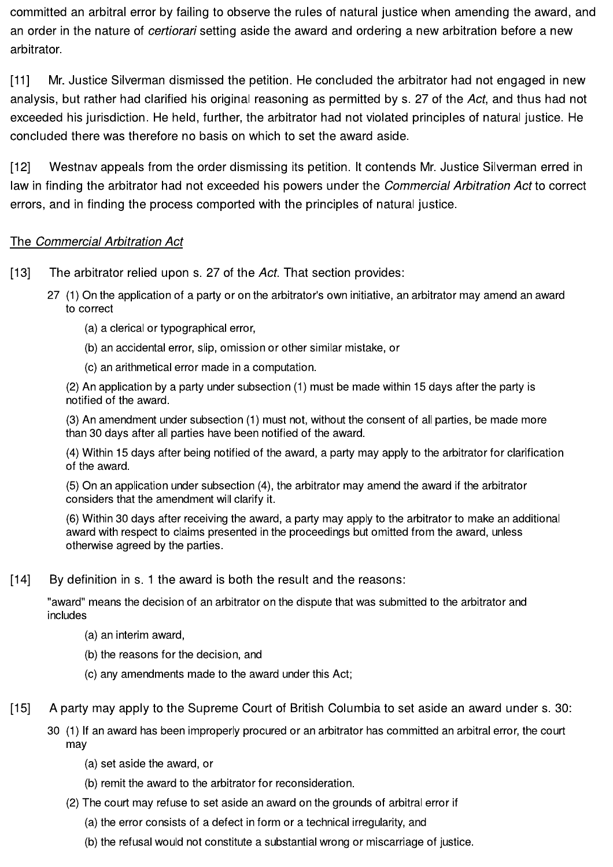committed an arbitral error by failing to observe the rules of natural justice when amending the award, and an order in the nature of *certiorari* setting aside the award and ordering a new arbitration before a new arbitrator.

Mr. Justice Silverman dismissed the petition. He concluded the arbitrator had not engaged in new  $[11]$ analysis, but rather had clarified his original reasoning as permitted by s. 27 of the Act, and thus had not exceeded his jurisdiction. He held, further, the arbitrator had not violated principles of natural justice. He concluded there was therefore no basis on which to set the award aside.

Westnav appeals from the order dismissing its petition. It contends Mr. Justice Silverman erred in  $[12]$ law in finding the arbitrator had not exceeded his powers under the Commercial Arbitration Act to correct errors, and in finding the process comported with the principles of natural justice.

#### The Commercial Arbitration Act

- The arbitrator relied upon s. 27 of the Act. That section provides:  $[13]$ 
	- 27 (1) On the application of a party or on the arbitrator's own initiative, an arbitrator may amend an award to correct
		- (a) a clerical or typographical error,
		- (b) an accidental error, slip, omission or other similar mistake, or
		- (c) an arithmetical error made in a computation.

(2) An application by a party under subsection (1) must be made within 15 days after the party is notified of the award.

(3) An amendment under subsection (1) must not, without the consent of all parties, be made more than 30 days after all parties have been notified of the award.

(4) Within 15 days after being notified of the award, a party may apply to the arbitrator for clarification of the award.

(5) On an application under subsection (4), the arbitrator may amend the award if the arbitrator considers that the amendment will clarify it.

(6) Within 30 days after receiving the award, a party may apply to the arbitrator to make an additional award with respect to claims presented in the proceedings but omitted from the award, unless otherwise agreed by the parties.

 $[14]$ By definition in s. 1 the award is both the result and the reasons:

"award" means the decision of an arbitrator on the dispute that was submitted to the arbitrator and includes

- (a) an interim award,
- (b) the reasons for the decision, and
- (c) any amendments made to the award under this Act;
- $[15]$ A party may apply to the Supreme Court of British Columbia to set aside an award under s. 30:
	- 30 (1) If an award has been improperly procured or an arbitrator has committed an arbitral error, the court may
		- (a) set aside the award, or
		- (b) remit the award to the arbitrator for reconsideration.
		- (2) The court may refuse to set aside an award on the grounds of arbitral error if
			- (a) the error consists of a defect in form or a technical irregularity, and
			- (b) the refusal would not constitute a substantial wrong or miscarriage of justice.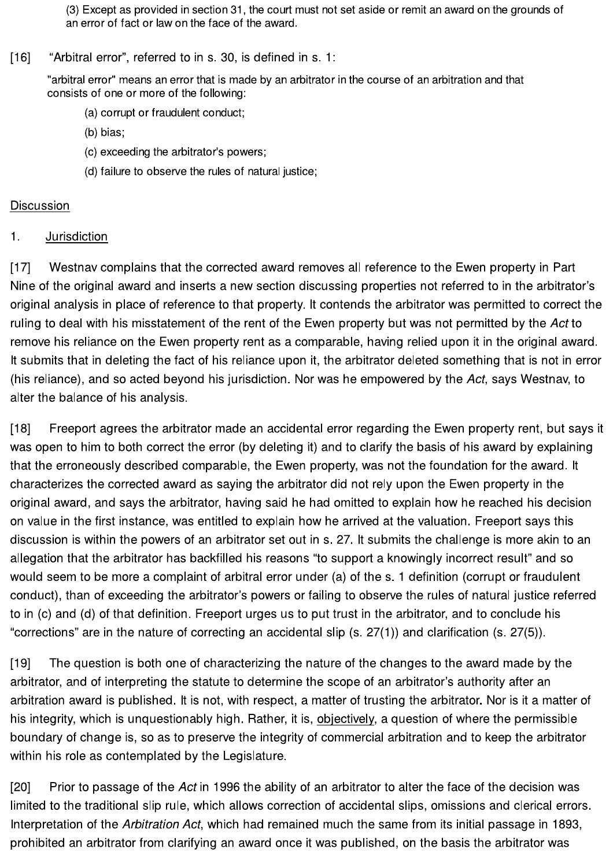(3) Except as provided in section 31, the court must not set aside or remit an award on the grounds of an error of fact or law on the face of the award.

 $[16]$ "Arbitral error", referred to in s. 30, is defined in s. 1:

> "arbitral error" means an error that is made by an arbitrator in the course of an arbitration and that consists of one or more of the following:

- (a) corrupt or fraudulent conduct;
- (b) bias:
- (c) exceeding the arbitrator's powers;
- (d) failure to observe the rules of natural justice;

### **Discussion**

#### $\mathbf 1$ . Jurisdiction

Westnav complains that the corrected award removes all reference to the Ewen property in Part  $1171$ Nine of the original award and inserts a new section discussing properties not referred to in the arbitrator's original analysis in place of reference to that property. It contends the arbitrator was permitted to correct the ruling to deal with his misstatement of the rent of the Ewen property but was not permitted by the Act to remove his reliance on the Ewen property rent as a comparable, having relied upon it in the original award. It submits that in deleting the fact of his reliance upon it, the arbitrator deleted something that is not in error (his reliance), and so acted beyond his jurisdiction. Nor was he empowered by the Act, says Westnay, to alter the balance of his analysis.

 $[18]$ Freeport agrees the arbitrator made an accidental error regarding the Ewen property rent, but says it was open to him to both correct the error (by deleting it) and to clarify the basis of his award by explaining that the erroneously described comparable, the Ewen property, was not the foundation for the award. It characterizes the corrected award as saying the arbitrator did not rely upon the Ewen property in the original award, and says the arbitrator, having said he had omitted to explain how he reached his decision on value in the first instance, was entitled to explain how he arrived at the valuation. Freeport says this discussion is within the powers of an arbitrator set out in s. 27. It submits the challenge is more akin to an allegation that the arbitrator has backfilled his reasons "to support a knowingly incorrect result" and so would seem to be more a complaint of arbitral error under (a) of the s. 1 definition (corrupt or fraudulent conduct), than of exceeding the arbitrator's powers or failing to observe the rules of natural justice referred to in (c) and (d) of that definition. Freeport urges us to put trust in the arbitrator, and to conclude his "corrections" are in the nature of correcting an accidental slip (s. 27(1)) and clarification (s. 27(5)).

The question is both one of characterizing the nature of the changes to the award made by the  $[19]$ arbitrator, and of interpreting the statute to determine the scope of an arbitrator's authority after an arbitration award is published. It is not, with respect, a matter of trusting the arbitrator. Nor is it a matter of his integrity, which is unquestionably high. Rather, it is, objectively, a question of where the permissible boundary of change is, so as to preserve the integrity of commercial arbitration and to keep the arbitrator within his role as contemplated by the Legislature.

Prior to passage of the Act in 1996 the ability of an arbitrator to alter the face of the decision was  $[20]$ limited to the traditional slip rule, which allows correction of accidental slips, omissions and clerical errors. Interpretation of the Arbitration Act, which had remained much the same from its initial passage in 1893, prohibited an arbitrator from clarifying an award once it was published, on the basis the arbitrator was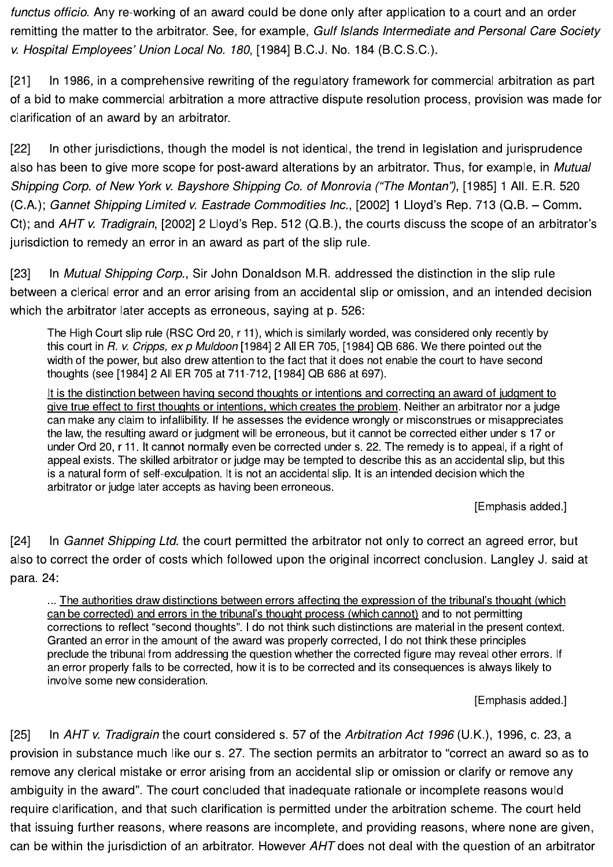functus officio. Any re-working of an award could be done only after application to a court and an order remitting the matter to the arbitrator. See, for example, Gulf Islands Intermediate and Personal Care Society v. Hospital Employees' Union Local No. 180, [1984] B.C.J. No. 184 (B.C.S.C.).

In 1986, in a comprehensive rewriting of the regulatory framework for commercial arbitration as part  $[21]$ of a bid to make commercial arbitration a more attractive dispute resolution process, provision was made for clarification of an award by an arbitrator.

In other jurisdictions, though the model is not identical, the trend in legislation and jurisprudence  $[22]$ also has been to give more scope for post-award alterations by an arbitrator. Thus, for example, in Mutual Shipping Corp. of New York v. Bayshore Shipping Co. of Monrovia ("The Montan"), [1985] 1 All. E.R. 520 (C.A.); Gannet Shipping Limited v. Eastrade Commodities Inc., [2002] 1 Lloyd's Rep. 713 (Q.B. - Comm. Ct); and AHT v. Tradigrain, [2002] 2 Lloyd's Rep. 512 (Q.B.), the courts discuss the scope of an arbitrator's jurisdiction to remedy an error in an award as part of the slip rule.

In Mutual Shipping Corp., Sir John Donaldson M.R. addressed the distinction in the slip rule  $[23]$ between a clerical error and an error arising from an accidental slip or omission, and an intended decision which the arbitrator later accepts as erroneous, saying at p. 526:

The High Court slip rule (RSC Ord 20, r 11), which is similarly worded, was considered only recently by this court in R. v. Cripps, ex p Muldoon [1984] 2 All ER 705, [1984] QB 686. We there pointed out the width of the power, but also drew attention to the fact that it does not enable the court to have second thoughts (see [1984] 2 All ER 705 at 711-712, [1984] QB 686 at 697).

It is the distinction between having second thoughts or intentions and correcting an award of judgment to give true effect to first thoughts or intentions, which creates the problem. Neither an arbitrator nor a judge can make any claim to infallibility. If he assesses the evidence wrongly or misconstrues or misappreciates the law, the resulting award or judgment will be erroneous, but it cannot be corrected either under s 17 or under Ord 20, r 11. It cannot normally even be corrected under s. 22. The remedy is to appeal, if a right of appeal exists. The skilled arbitrator or judge may be tempted to describe this as an accidental slip, but this is a natural form of self-exculpation. It is not an accidental slip. It is an intended decision which the arbitrator or judge later accepts as having been erroneous.

[Emphasis added.]

 $[24]$ In Gannet Shipping Ltd. the court permitted the arbitrator not only to correct an agreed error, but also to correct the order of costs which followed upon the original incorrect conclusion. Langley J. said at para. 24:

... The authorities draw distinctions between errors affecting the expression of the tribunal's thought (which can be corrected) and errors in the tribunal's thought process (which cannot) and to not permitting corrections to reflect "second thoughts". I do not think such distinctions are material in the present context. Granted an error in the amount of the award was properly corrected, I do not think these principles preclude the tribunal from addressing the question whether the corrected figure may reveal other errors. If an error properly falls to be corrected, how it is to be corrected and its consequences is always likely to involve some new consideration.

[Emphasis added.]

In AHT v. Tradigrain the court considered s. 57 of the Arbitration Act 1996 (U.K.), 1996, c. 23, a  $[25]$ provision in substance much like our s. 27. The section permits an arbitrator to "correct an award so as to remove any clerical mistake or error arising from an accidental slip or omission or clarify or remove any ambiguity in the award". The court concluded that inadequate rationale or incomplete reasons would require clarification, and that such clarification is permitted under the arbitration scheme. The court held that issuing further reasons, where reasons are incomplete, and providing reasons, where none are given, can be within the jurisdiction of an arbitrator. However AHT does not deal with the question of an arbitrator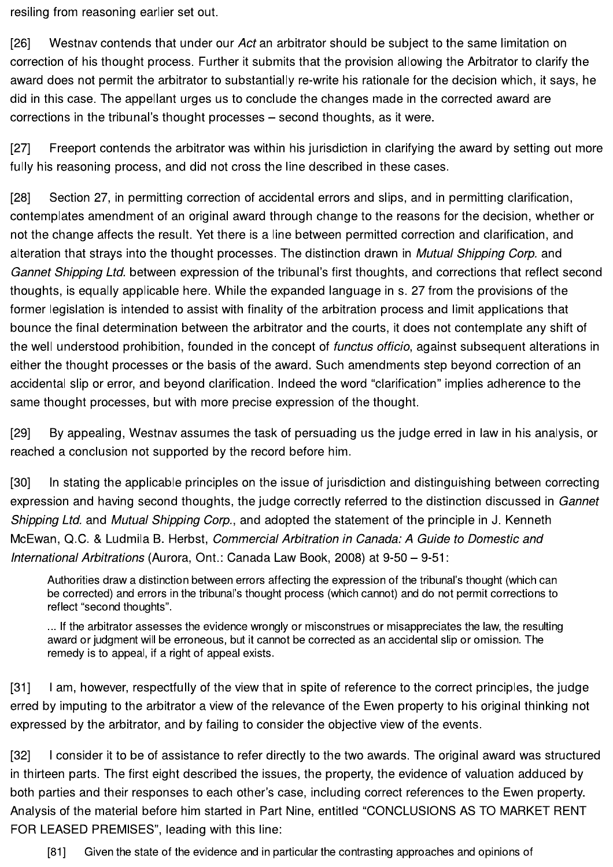resiling from reasoning earlier set out.

 $[26]$ Westnay contends that under our Act an arbitrator should be subject to the same limitation on correction of his thought process. Further it submits that the provision allowing the Arbitrator to clarify the award does not permit the arbitrator to substantially re-write his rationale for the decision which, it says, he did in this case. The appellant urges us to conclude the changes made in the corrected award are corrections in the tribunal's thought processes – second thoughts, as it were.

 $[27]$ Freeport contends the arbitrator was within his jurisdiction in clarifying the award by setting out more fully his reasoning process, and did not cross the line described in these cases.

 $[28]$ Section 27, in permitting correction of accidental errors and slips, and in permitting clarification, contemplates amendment of an original award through change to the reasons for the decision, whether or not the change affects the result. Yet there is a line between permitted correction and clarification, and alteration that strays into the thought processes. The distinction drawn in Mutual Shipping Corp. and Gannet Shipping Ltd. between expression of the tribunal's first thoughts, and corrections that reflect second thoughts, is equally applicable here. While the expanded language in s. 27 from the provisions of the former legislation is intended to assist with finality of the arbitration process and limit applications that bounce the final determination between the arbitrator and the courts, it does not contemplate any shift of the well understood prohibition, founded in the concept of functus officio, against subsequent alterations in either the thought processes or the basis of the award. Such amendments step beyond correction of an accidental slip or error, and beyond clarification. Indeed the word "clarification" implies adherence to the same thought processes, but with more precise expression of the thought.

 $[29]$ By appealing, Westnav assumes the task of persuading us the judge erred in law in his analysis, or reached a conclusion not supported by the record before him.

 $[30]$ In stating the applicable principles on the issue of jurisdiction and distinguishing between correcting expression and having second thoughts, the judge correctly referred to the distinction discussed in Gannet Shipping Ltd. and Mutual Shipping Corp., and adopted the statement of the principle in J. Kenneth McEwan, Q.C. & Ludmila B. Herbst, Commercial Arbitration in Canada: A Guide to Domestic and International Arbitrations (Aurora, Ont.: Canada Law Book, 2008) at 9-50 - 9-51:

Authorities draw a distinction between errors affecting the expression of the tribunal's thought (which can be corrected) and errors in the tribunal's thought process (which cannot) and do not permit corrections to reflect "second thoughts".

... If the arbitrator assesses the evidence wrongly or misconstrues or misappreciates the law, the resulting award or judgment will be erroneous, but it cannot be corrected as an accidental slip or omission. The remedy is to appeal, if a right of appeal exists.

I am, however, respectfully of the view that in spite of reference to the correct principles, the judge  $[31]$ erred by imputing to the arbitrator a view of the relevance of the Ewen property to his original thinking not expressed by the arbitrator, and by failing to consider the objective view of the events.

I consider it to be of assistance to refer directly to the two awards. The original award was structured  $[32]$ in thirteen parts. The first eight described the issues, the property, the evidence of valuation adduced by both parties and their responses to each other's case, including correct references to the Ewen property. Analysis of the material before him started in Part Nine, entitled "CONCLUSIONS AS TO MARKET RENT FOR LEASED PREMISES", leading with this line:

 $[81]$ Given the state of the evidence and in particular the contrasting approaches and opinions of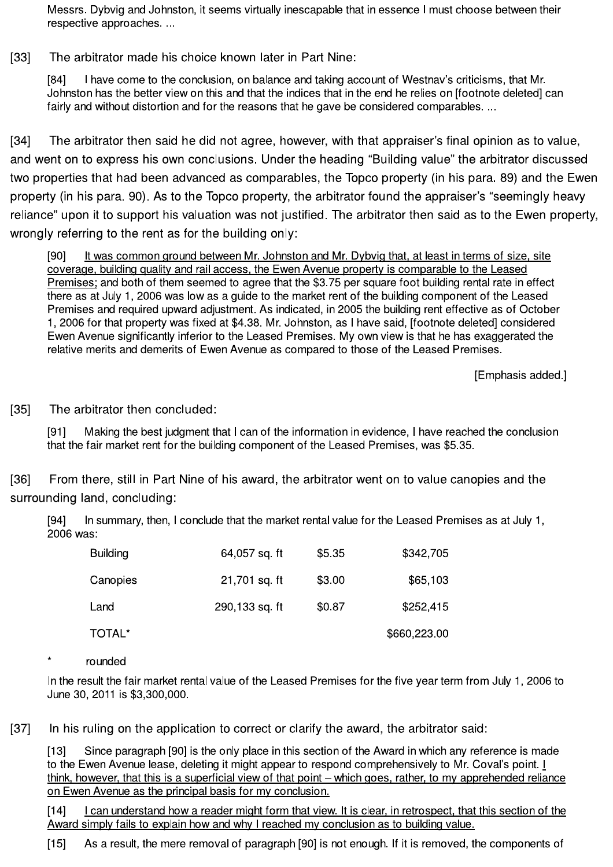Messrs. Dybvig and Johnston, it seems virtually inescapable that in essence I must choose between their respective approaches...

The arbitrator made his choice known later in Part Nine:  $[33]$ 

> $[84]$ I have come to the conclusion, on balance and taking account of Westnav's criticisms, that Mr. Johnston has the better view on this and that the indices that in the end he relies on [footnote deleted] can fairly and without distortion and for the reasons that he gave be considered comparables...

 $[34]$ The arbitrator then said he did not agree, however, with that appraiser's final opinion as to value, and went on to express his own conclusions. Under the heading "Building value" the arbitrator discussed two properties that had been advanced as comparables, the Topco property (in his para. 89) and the Ewen property (in his para. 90). As to the Topco property, the arbitrator found the appraiser's "seemingly heavy reliance" upon it to support his valuation was not justified. The arbitrator then said as to the Ewen property, wrongly referring to the rent as for the building only:

It was common ground between Mr. Johnston and Mr. Dybvig that, at least in terms of size, site  $[90]$ coverage, building quality and rail access, the Ewen Avenue property is comparable to the Leased Premises; and both of them seemed to agree that the \$3.75 per square foot building rental rate in effect there as at July 1, 2006 was low as a guide to the market rent of the building component of the Leased Premises and required upward adjustment. As indicated, in 2005 the building rent effective as of October 1, 2006 for that property was fixed at \$4.38. Mr. Johnston, as I have said, [footnote deleted] considered Ewen Avenue significantly inferior to the Leased Premises. My own view is that he has exaggerated the relative merits and demerits of Ewen Avenue as compared to those of the Leased Premises.

[Emphasis added.]

 $[35]$ The arbitrator then concluded:

> $[91]$ Making the best judgment that I can of the information in evidence, I have reached the conclusion that the fair market rent for the building component of the Leased Premises, was \$5.35.

 $[36]$ From there, still in Part Nine of his award, the arbitrator went on to value canopies and the surrounding land, concluding:

In summary, then, I conclude that the market rental value for the Leased Premises as at July 1,  $[94]$ 2006 was:

| <b>Building</b> | 64,057 sq. ft  | \$5.35 | \$342,705    |
|-----------------|----------------|--------|--------------|
| Canopies        | 21,701 sq. ft  | \$3.00 | \$65,103     |
| Land            | 290,133 sq. ft | \$0.87 | \$252,415    |
| TOTAL*          |                |        | \$660,223.00 |

rounded

In the result the fair market rental value of the Leased Premises for the five year term from July 1, 2006 to June 30, 2011 is \$3,300,000.

In his ruling on the application to correct or clarify the award, the arbitrator said:  $[37]$ 

Since paragraph [90] is the only place in this section of the Award in which any reference is made  $[13]$ to the Ewen Avenue lease, deleting it might appear to respond comprehensively to Mr. Coval's point. I think, however, that this is a superficial view of that point – which goes, rather, to my apprehended reliance on Ewen Avenue as the principal basis for my conclusion.

I can understand how a reader might form that view. It is clear, in retrospect, that this section of the  $[14]$ Award simply fails to explain how and why I reached my conclusion as to building value.

As a result, the mere removal of paragraph [90] is not enough. If it is removed, the components of  $[15]$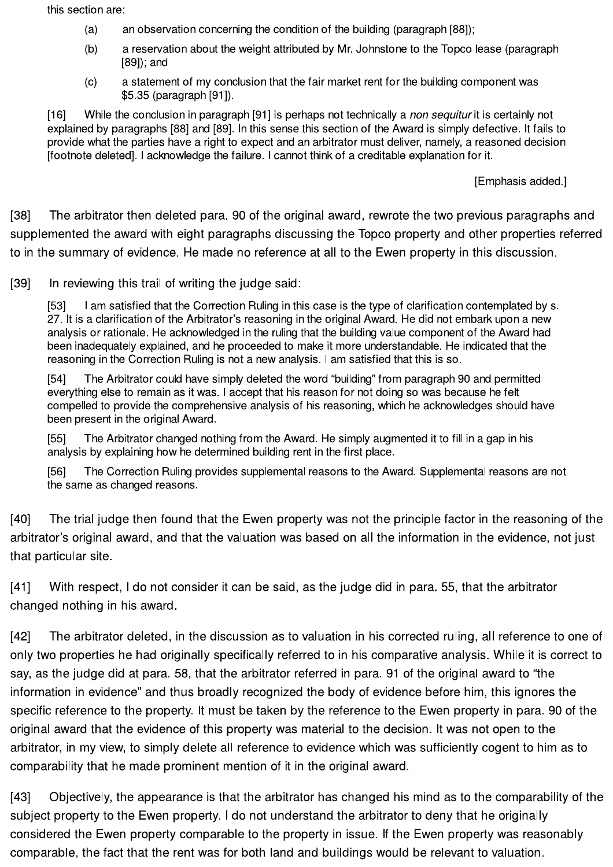this section are:

- $(a)$ an observation concerning the condition of the building (paragraph [88]);
- $(b)$ a reservation about the weight attributed by Mr. Johnstone to the Topco lease (paragraph  $[89]$ ; and
- a statement of my conclusion that the fair market rent for the building component was  $(c)$ \$5.35 (paragraph [91]).

While the conclusion in paragraph [91] is perhaps not technically a non sequitur it is certainly not  $[16]$ explained by paragraphs [88] and [89]. In this sense this section of the Award is simply defective. It fails to provide what the parties have a right to expect and an arbitrator must deliver, namely, a reasoned decision Ifootnote deleted]. I acknowledge the failure. I cannot think of a creditable explanation for it.

[Emphasis added.]

 $[38]$ The arbitrator then deleted para. 90 of the original award, rewrote the two previous paragraphs and supplemented the award with eight paragraphs discussing the Topco property and other properties referred to in the summary of evidence. He made no reference at all to the Ewen property in this discussion.

 $[39]$ In reviewing this trail of writing the judge said:

> I am satisfied that the Correction Ruling in this case is the type of clarification contemplated by s.  $[53]$ 27. It is a clarification of the Arbitrator's reasoning in the original Award. He did not embark upon a new analysis or rationale. He acknowledged in the ruling that the building value component of the Award had been inadequately explained, and he proceeded to make it more understandable. He indicated that the reasoning in the Correction Ruling is not a new analysis. I am satisfied that this is so.

> $[54]$ The Arbitrator could have simply deleted the word "building" from paragraph 90 and permitted everything else to remain as it was. I accept that his reason for not doing so was because he felt compelled to provide the comprehensive analysis of his reasoning, which he acknowledges should have been present in the original Award.

The Arbitrator changed nothing from the Award. He simply augmented it to fill in a gap in his  $[55]$ analysis by explaining how he determined building rent in the first place.

 $[56]$ The Correction Ruling provides supplemental reasons to the Award. Supplemental reasons are not the same as changed reasons.

 $[40]$ The trial judge then found that the Ewen property was not the principle factor in the reasoning of the arbitrator's original award, and that the valuation was based on all the information in the evidence, not just that particular site.

 $[41]$ With respect, I do not consider it can be said, as the judge did in para. 55, that the arbitrator changed nothing in his award.

 $[42]$ The arbitrator deleted, in the discussion as to valuation in his corrected ruling, all reference to one of only two properties he had originally specifically referred to in his comparative analysis. While it is correct to say, as the judge did at para. 58, that the arbitrator referred in para. 91 of the original award to "the information in evidence" and thus broadly recognized the body of evidence before him, this ignores the specific reference to the property. It must be taken by the reference to the Ewen property in para. 90 of the original award that the evidence of this property was material to the decision. It was not open to the arbitrator, in my view, to simply delete all reference to evidence which was sufficiently cogent to him as to comparability that he made prominent mention of it in the original award.

 $[43]$ Objectively, the appearance is that the arbitrator has changed his mind as to the comparability of the subject property to the Ewen property. I do not understand the arbitrator to deny that he originally considered the Ewen property comparable to the property in issue. If the Ewen property was reasonably comparable, the fact that the rent was for both land and buildings would be relevant to valuation.